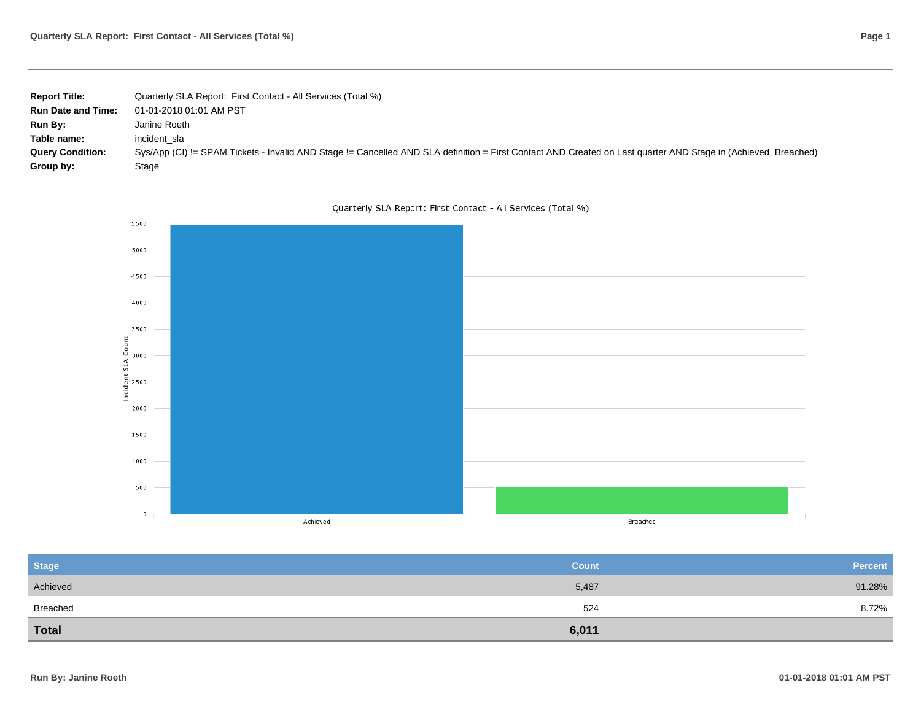| <b>Report Title:</b>      | Quarterly SLA Report: First Contact - All Services (Total %)                                                                                                   |
|---------------------------|----------------------------------------------------------------------------------------------------------------------------------------------------------------|
| <b>Run Date and Time:</b> | 01-01-2018 01:01 AM PST                                                                                                                                        |
| <b>Run By:</b>            | Janine Roeth                                                                                                                                                   |
| Table name:               | incident sla                                                                                                                                                   |
| <b>Query Condition:</b>   | Sys/App (CI) != SPAM Tickets - Invalid AND Stage != Cancelled AND SLA definition = First Contact AND Created on Last quarter AND Stage in (Achieved, Breached) |
| Group by:                 | Stage                                                                                                                                                          |



Quarterly SLA Report: First Contact - All Services (Total %)

| <b>Stage</b> | <b>Count</b> | Percent |
|--------------|--------------|---------|
| Achieved     | 5,487        | 91.28%  |
| Breached     | 524          | 8.72%   |
| <b>Total</b> | 6,011        |         |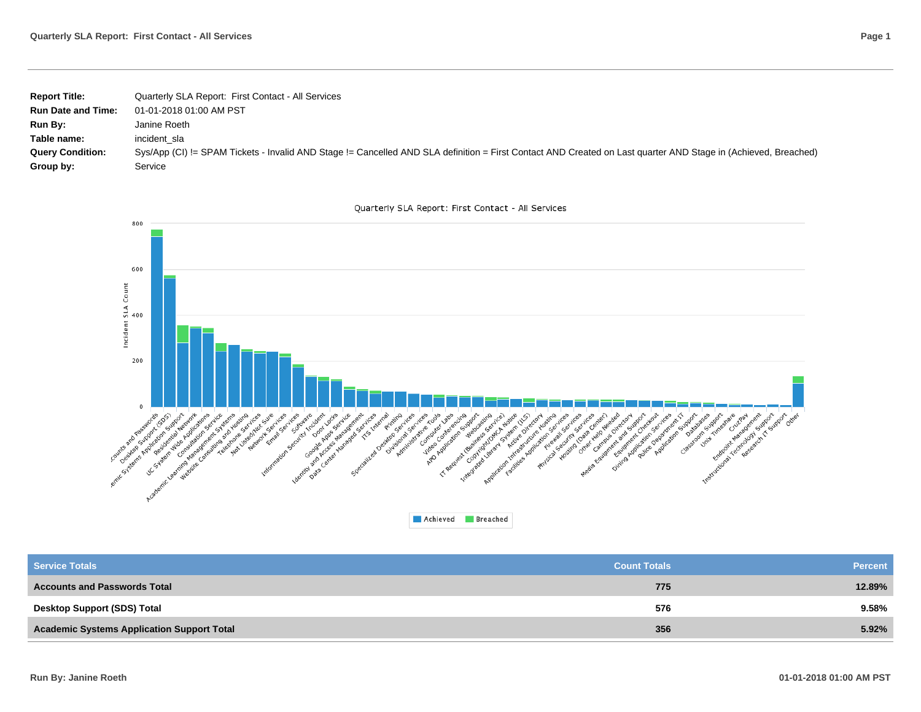| <b>Report Title:</b>      | Quarterly SLA Report: First Contact - All Services                                                                                                             |
|---------------------------|----------------------------------------------------------------------------------------------------------------------------------------------------------------|
| <b>Run Date and Time:</b> | 01-01-2018 01:00 AM PST                                                                                                                                        |
| <b>Run By:</b>            | Janine Roeth                                                                                                                                                   |
| Table name:               | incident sla                                                                                                                                                   |
| <b>Query Condition:</b>   | Sys/App (CI) != SPAM Tickets - Invalid AND Stage != Cancelled AND SLA definition = First Contact AND Created on Last quarter AND Stage in (Achieved, Breached) |
| Group by:                 | Service                                                                                                                                                        |





| <b>Service Totals</b>                             | <b>Count Totals</b> | <b>Percent</b> |
|---------------------------------------------------|---------------------|----------------|
| <b>Accounts and Passwords Total</b>               | 775                 | 12.89%         |
| <b>Desktop Support (SDS) Total</b>                | 576                 | $9.58\%$       |
| <b>Academic Systems Application Support Total</b> | 356                 | 5.92%          |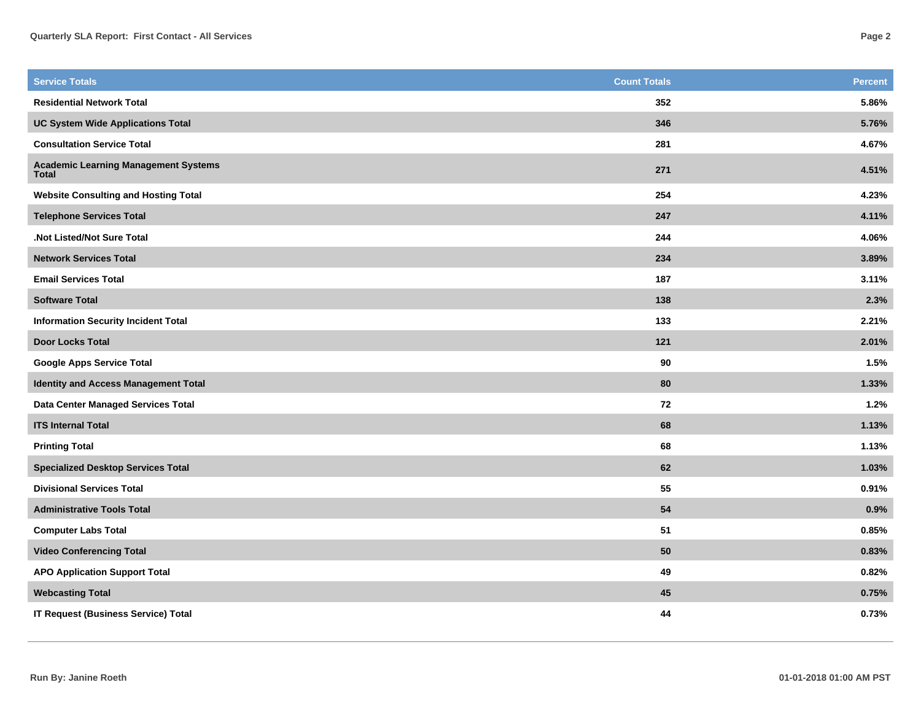| <b>Service Totals</b>                                       | <b>Count Totals</b> | <b>Percent</b> |
|-------------------------------------------------------------|---------------------|----------------|
| <b>Residential Network Total</b>                            | 352                 | 5.86%          |
| <b>UC System Wide Applications Total</b>                    | 346                 | 5.76%          |
| <b>Consultation Service Total</b>                           | 281                 | 4.67%          |
| <b>Academic Learning Management Systems</b><br><b>Total</b> | 271                 | 4.51%          |
| <b>Website Consulting and Hosting Total</b>                 | 254                 | 4.23%          |
| <b>Telephone Services Total</b>                             | 247                 | 4.11%          |
| .Not Listed/Not Sure Total                                  | 244                 | 4.06%          |
| <b>Network Services Total</b>                               | 234                 | 3.89%          |
| <b>Email Services Total</b>                                 | 187                 | 3.11%          |
| <b>Software Total</b>                                       | 138                 | 2.3%           |
| <b>Information Security Incident Total</b>                  | 133                 | 2.21%          |
| <b>Door Locks Total</b>                                     | 121                 | 2.01%          |
| <b>Google Apps Service Total</b>                            | 90                  | 1.5%           |
| <b>Identity and Access Management Total</b>                 | 80                  | 1.33%          |
| Data Center Managed Services Total                          | 72                  | 1.2%           |
| <b>ITS Internal Total</b>                                   | 68                  | 1.13%          |
| <b>Printing Total</b>                                       | 68                  | 1.13%          |
| <b>Specialized Desktop Services Total</b>                   | 62                  | 1.03%          |
| <b>Divisional Services Total</b>                            | 55                  | 0.91%          |
| <b>Administrative Tools Total</b>                           | 54                  | 0.9%           |
| <b>Computer Labs Total</b>                                  | 51                  | 0.85%          |
| <b>Video Conferencing Total</b>                             | 50                  | 0.83%          |
| <b>APO Application Support Total</b>                        | 49                  | 0.82%          |
| <b>Webcasting Total</b>                                     | 45                  | 0.75%          |
| <b>IT Request (Business Service) Total</b>                  | 44                  | 0.73%          |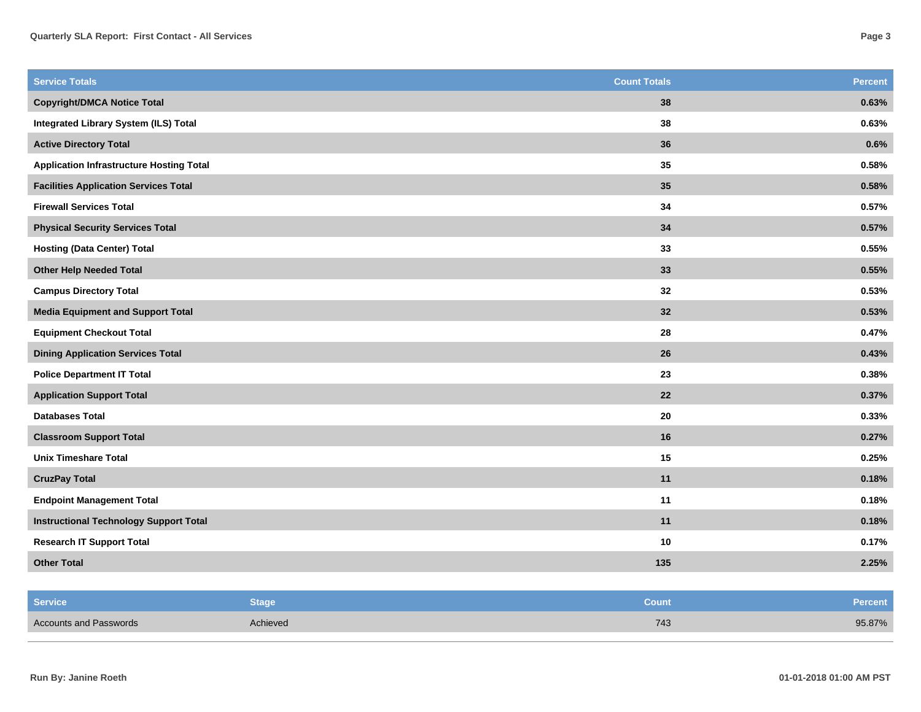| <b>Service Totals</b>                           | <b>Count Totals</b> | <b>Percent</b> |
|-------------------------------------------------|---------------------|----------------|
| <b>Copyright/DMCA Notice Total</b>              | 38                  | 0.63%          |
| Integrated Library System (ILS) Total           | 38                  | 0.63%          |
| <b>Active Directory Total</b>                   | 36                  | 0.6%           |
| <b>Application Infrastructure Hosting Total</b> | 35                  | 0.58%          |
| <b>Facilities Application Services Total</b>    | 35                  | 0.58%          |
| <b>Firewall Services Total</b>                  | 34                  | 0.57%          |
| <b>Physical Security Services Total</b>         | 34                  | 0.57%          |
| <b>Hosting (Data Center) Total</b>              | 33                  | 0.55%          |
| <b>Other Help Needed Total</b>                  | 33                  | 0.55%          |
| <b>Campus Directory Total</b>                   | 32                  | 0.53%          |
| <b>Media Equipment and Support Total</b>        | 32                  | 0.53%          |
| <b>Equipment Checkout Total</b>                 | 28                  | 0.47%          |
| <b>Dining Application Services Total</b>        | 26                  | 0.43%          |
| <b>Police Department IT Total</b>               | 23                  | 0.38%          |
| <b>Application Support Total</b>                | 22                  | 0.37%          |
| <b>Databases Total</b>                          | 20                  | 0.33%          |
| <b>Classroom Support Total</b>                  | 16                  | 0.27%          |
| <b>Unix Timeshare Total</b>                     | 15                  | 0.25%          |
| <b>CruzPay Total</b>                            | 11                  | 0.18%          |
| <b>Endpoint Management Total</b>                | 11                  | 0.18%          |
| <b>Instructional Technology Support Total</b>   | 11                  | 0.18%          |
| <b>Research IT Support Total</b>                | 10                  | 0.17%          |
| <b>Other Total</b>                              | 135                 | 2.25%          |

| <b>Service</b>                | Stage    | <b>Count</b> | <b>Percent</b> |
|-------------------------------|----------|--------------|----------------|
| <b>Accounts and Passwords</b> | Achieved | 743          | 95.87%         |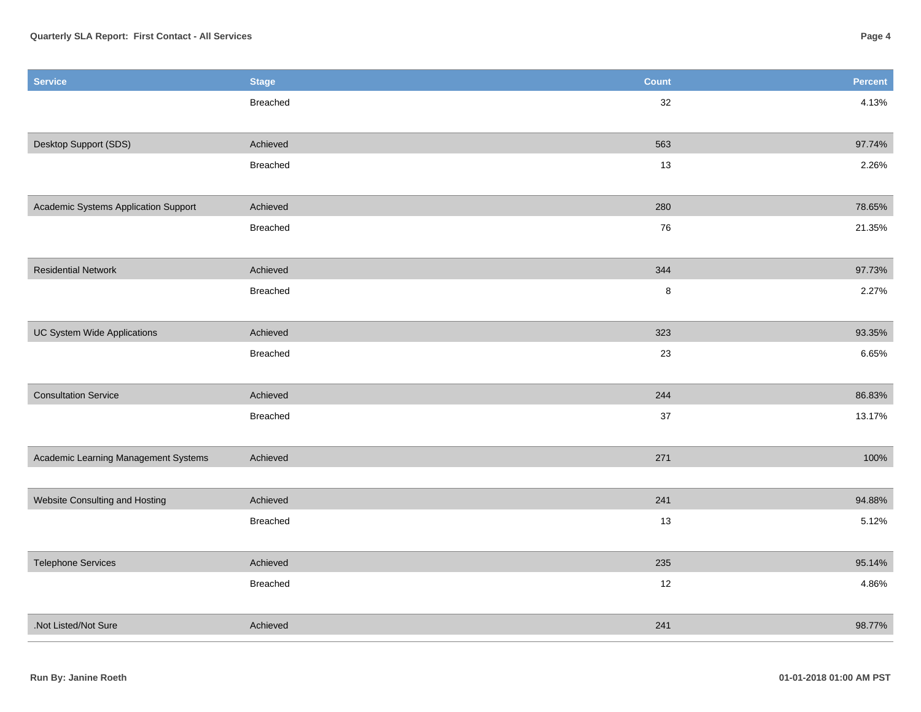| <b>Service</b>                       | <b>Stage</b>    | <b>Count</b> | <b>Percent</b> |
|--------------------------------------|-----------------|--------------|----------------|
|                                      | <b>Breached</b> | 32           | 4.13%          |
|                                      |                 |              |                |
| Desktop Support (SDS)                | Achieved        | 563          | 97.74%         |
|                                      | Breached        | 13           | 2.26%          |
|                                      |                 |              |                |
| Academic Systems Application Support | Achieved        | 280          | 78.65%         |
|                                      | <b>Breached</b> | 76           | 21.35%         |
|                                      |                 |              |                |
| <b>Residential Network</b>           | Achieved        | 344          | 97.73%         |
|                                      | Breached        | $\bf 8$      | 2.27%          |
|                                      |                 |              |                |
| <b>UC System Wide Applications</b>   | Achieved        | 323          | 93.35%         |
|                                      | Breached        | 23           | 6.65%          |
|                                      |                 |              |                |
| <b>Consultation Service</b>          | Achieved        | 244          | 86.83%         |
|                                      | Breached        | $37\,$       | 13.17%         |
|                                      |                 |              |                |
| Academic Learning Management Systems | Achieved        | 271          | 100%           |
|                                      |                 |              |                |
| Website Consulting and Hosting       | Achieved        | 241          | 94.88%         |
|                                      | Breached        | 13           | 5.12%          |
|                                      |                 |              |                |
| <b>Telephone Services</b>            | Achieved        | 235          | 95.14%         |
|                                      | Breached        | 12           | 4.86%          |
|                                      |                 |              |                |
| .Not Listed/Not Sure                 | Achieved        | 241          | 98.77%         |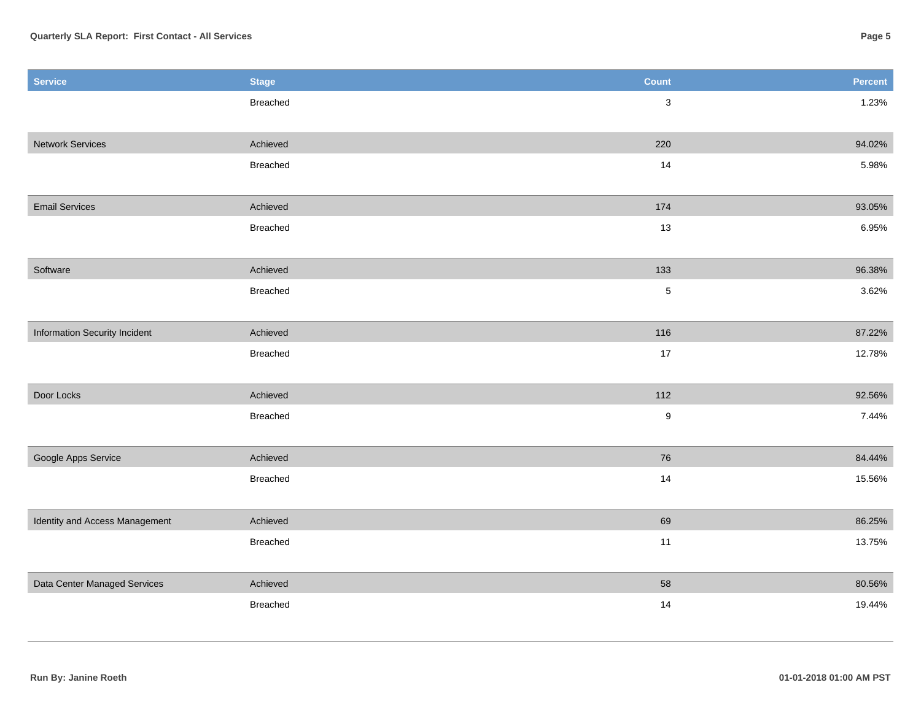| <b>Service</b>                 | <b>Stage</b> | <b>Count</b>     | Percent |
|--------------------------------|--------------|------------------|---------|
|                                | Breached     | $\mathbf 3$      | 1.23%   |
|                                |              |                  |         |
| <b>Network Services</b>        | Achieved     | 220              | 94.02%  |
|                                | Breached     | 14               | 5.98%   |
|                                |              |                  |         |
| <b>Email Services</b>          | Achieved     | 174              | 93.05%  |
|                                | Breached     | 13               | 6.95%   |
|                                |              |                  |         |
| Software                       | Achieved     | 133              | 96.38%  |
|                                | Breached     | $\overline{5}$   | 3.62%   |
|                                |              |                  |         |
| Information Security Incident  | Achieved     | 116              | 87.22%  |
|                                | Breached     | $17$             | 12.78%  |
|                                |              |                  |         |
| Door Locks                     | Achieved     | 112              | 92.56%  |
|                                | Breached     | $\boldsymbol{9}$ | 7.44%   |
|                                |              |                  |         |
| Google Apps Service            | Achieved     | 76               | 84.44%  |
|                                | Breached     | 14               | 15.56%  |
|                                |              |                  |         |
| Identity and Access Management | Achieved     | 69               | 86.25%  |
|                                | Breached     | 11               | 13.75%  |
|                                |              |                  |         |
| Data Center Managed Services   | Achieved     | 58               | 80.56%  |
|                                | Breached     | 14               | 19.44%  |
|                                |              |                  |         |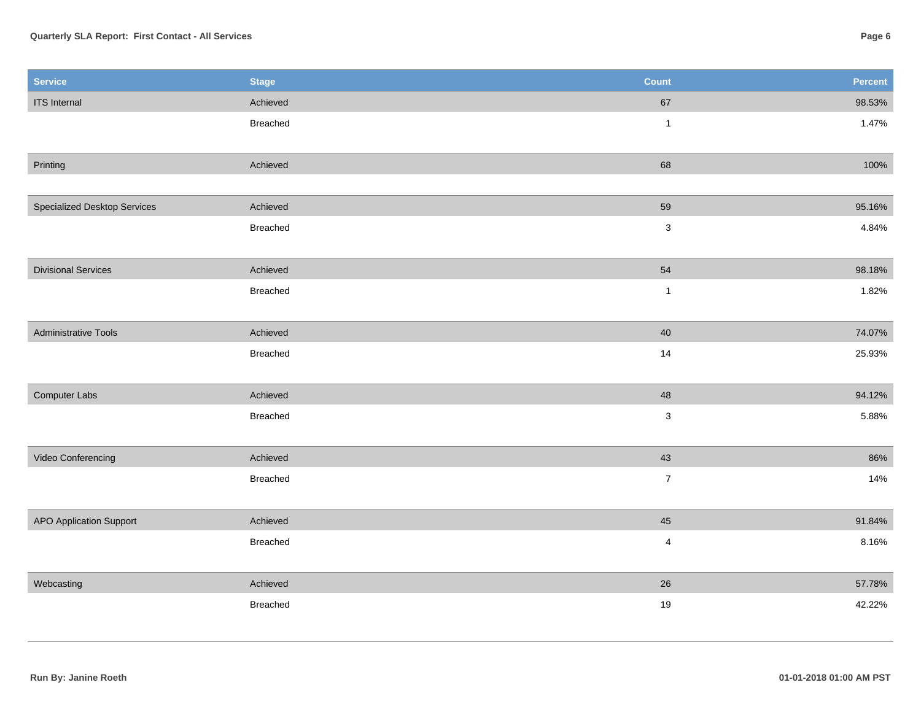| <b>Service</b>                      | <b>Stage</b>    | <b>Count</b>              | Percent |
|-------------------------------------|-----------------|---------------------------|---------|
| <b>ITS</b> Internal                 | Achieved        | $67\,$                    | 98.53%  |
|                                     | Breached        | $\mathbf{1}$              | 1.47%   |
|                                     |                 |                           |         |
| Printing                            | Achieved        | 68                        | 100%    |
|                                     |                 |                           |         |
| <b>Specialized Desktop Services</b> | Achieved        | 59                        | 95.16%  |
|                                     | <b>Breached</b> | $\sqrt{3}$                | 4.84%   |
|                                     |                 |                           |         |
| <b>Divisional Services</b>          | Achieved        | 54                        | 98.18%  |
|                                     | <b>Breached</b> | $\mathbf{1}$              | 1.82%   |
|                                     |                 |                           |         |
| <b>Administrative Tools</b>         | Achieved        | $40\,$                    | 74.07%  |
|                                     | Breached        | 14                        | 25.93%  |
|                                     |                 |                           |         |
| Computer Labs                       | Achieved        | 48                        | 94.12%  |
|                                     | Breached        | $\ensuremath{\mathsf{3}}$ | 5.88%   |
|                                     |                 |                           |         |
| Video Conferencing                  | Achieved        | 43                        | 86%     |
|                                     | Breached        | $\overline{7}$            | 14%     |
|                                     |                 |                           |         |
| <b>APO Application Support</b>      | Achieved        | 45                        | 91.84%  |
|                                     | Breached        | $\overline{4}$            | 8.16%   |
|                                     |                 |                           |         |
| Webcasting                          | Achieved        | 26                        | 57.78%  |
|                                     | Breached        | $19$                      | 42.22%  |
|                                     |                 |                           |         |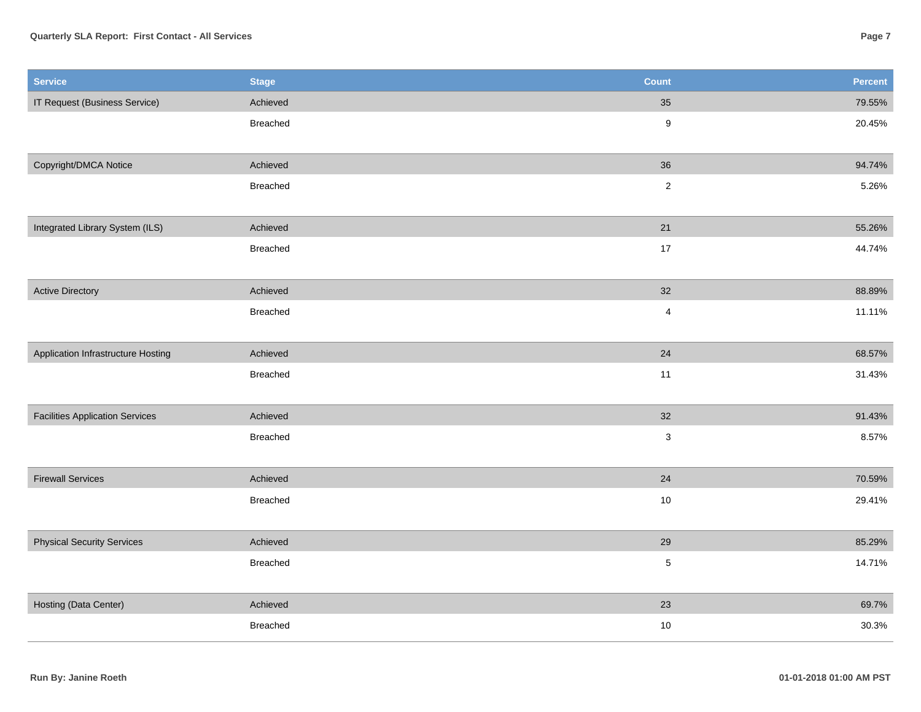## **Quarterly SLA Report: First Contact - All Services**

| <b>Service</b>                         | <b>Stage</b>    | <b>Count</b>     | Percent |
|----------------------------------------|-----------------|------------------|---------|
| IT Request (Business Service)          | Achieved        | $35\,$           | 79.55%  |
|                                        | Breached        | $\boldsymbol{9}$ | 20.45%  |
| Copyright/DMCA Notice                  | Achieved        | 36               | 94.74%  |
|                                        | Breached        | $\sqrt{2}$       | 5.26%   |
| Integrated Library System (ILS)        | Achieved        | 21               | 55.26%  |
|                                        | Breached        | 17               | 44.74%  |
| <b>Active Directory</b>                | Achieved        | 32               | 88.89%  |
|                                        | <b>Breached</b> | $\overline{4}$   | 11.11%  |
| Application Infrastructure Hosting     | Achieved        | 24               | 68.57%  |
|                                        | Breached        | 11               | 31.43%  |
| <b>Facilities Application Services</b> | Achieved        | 32               | 91.43%  |
|                                        | Breached        | $\sqrt{3}$       | 8.57%   |
| <b>Firewall Services</b>               | Achieved        | 24               | 70.59%  |
|                                        | Breached        | $10$             | 29.41%  |
| <b>Physical Security Services</b>      | Achieved        | 29               | 85.29%  |
|                                        | Breached        | $\,$ 5 $\,$      | 14.71%  |
| Hosting (Data Center)                  | Achieved        | 23               | 69.7%   |
|                                        | <b>Breached</b> | 10               | 30.3%   |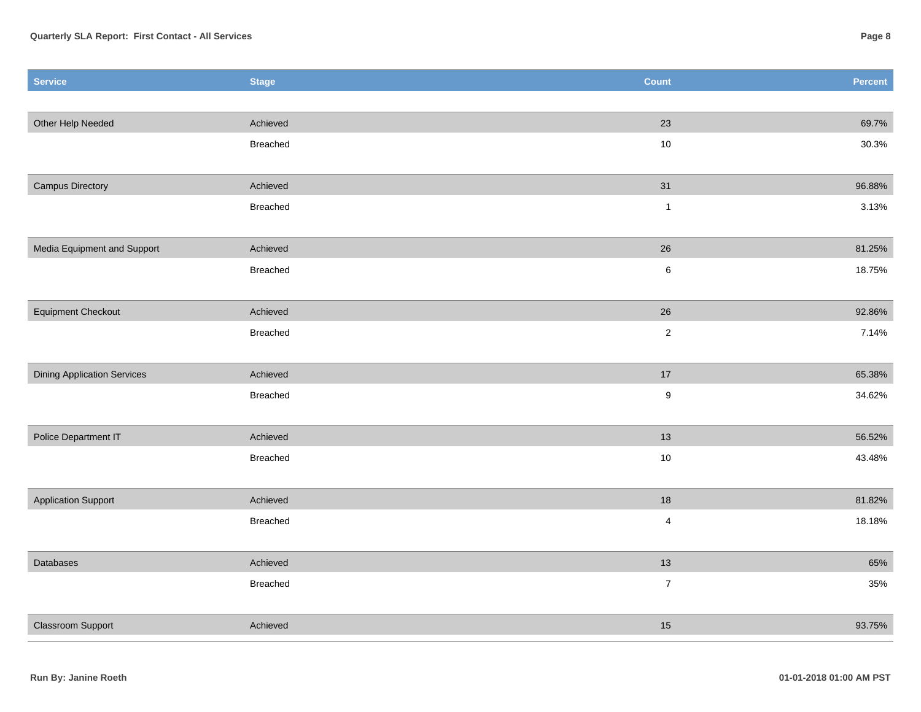| <b>Service</b>                     | <b>Stage</b> | <b>Count</b>     | Percent |
|------------------------------------|--------------|------------------|---------|
|                                    |              |                  |         |
| Other Help Needed                  | Achieved     | 23               | 69.7%   |
|                                    | Breached     | $10$             | 30.3%   |
|                                    |              |                  |         |
| <b>Campus Directory</b>            | Achieved     | 31               | 96.88%  |
|                                    | Breached     | $\mathbf{1}$     | 3.13%   |
|                                    |              |                  |         |
| Media Equipment and Support        | Achieved     | 26               | 81.25%  |
|                                    | Breached     | $\,6\,$          | 18.75%  |
|                                    |              |                  |         |
| <b>Equipment Checkout</b>          | Achieved     | 26               | 92.86%  |
|                                    | Breached     | $\sqrt{2}$       | 7.14%   |
|                                    |              |                  |         |
| <b>Dining Application Services</b> | Achieved     | $17$             | 65.38%  |
|                                    | Breached     | $\boldsymbol{9}$ | 34.62%  |
| Police Department IT               | Achieved     | 13               | 56.52%  |
|                                    | Breached     | $10$             | 43.48%  |
|                                    |              |                  |         |
| <b>Application Support</b>         | Achieved     | $18\,$           | 81.82%  |
|                                    | Breached     | $\overline{4}$   | 18.18%  |
|                                    |              |                  |         |
| Databases                          | Achieved     | 13               | 65%     |
|                                    | Breached     | $\overline{7}$   | 35%     |
|                                    |              |                  |         |
| Classroom Support                  | Achieved     | 15               | 93.75%  |